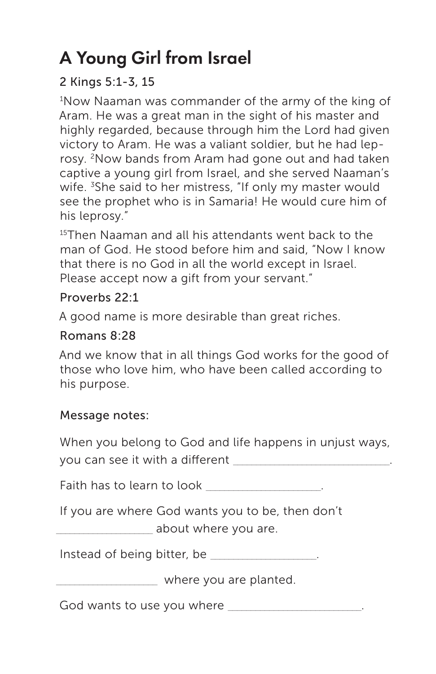# A Young Girl from Israel

## 2 Kings 5:1-3, 15

1 Now Naaman was commander of the army of the king of Aram. He was a great man in the sight of his master and highly regarded, because through him the Lord had given victory to Aram. He was a valiant soldier, but he had leprosy. 2Now bands from Aram had gone out and had taken captive a young girl from Israel, and she served Naaman's wife. <sup>3</sup>She said to her mistress, "If only my master would see the prophet who is in Samaria! He would cure him of his leprosy."

15Then Naaman and all his attendants went back to the man of God. He stood before him and said, "Now I know that there is no God in all the world except in Israel. Please accept now a gift from your servant."

### Proverbs 22:1

A good name is more desirable than great riches.

## Romans 8:28

And we know that in all things God works for the good of those who love him, who have been called according to his purpose.

### Message notes:

When you belong to God and life happens in unjust ways, you can see it with a different

Faith has to learn to look \_\_\_\_\_\_\_\_\_\_\_\_\_\_\_\_\_\_\_\_\_\_\_\_\_.

If you are where God wants you to be, then don't about where you are.

| Instead of being bitter, be |  |  |
|-----------------------------|--|--|
|-----------------------------|--|--|

\_\_\_\_\_\_\_\_\_\_\_\_\_\_\_\_\_\_\_\_\_\_ where you are planted.

God wants to use you where